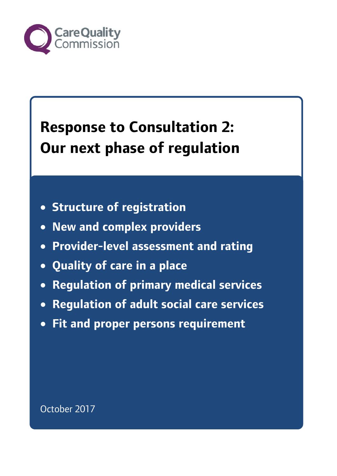

# **Response to Consultation 2: Our next phase of regulation**

- **Structure of registration**
- **New and complex providers**
- **Provider-level assessment and rating**
- **Quality of care in a place**
- **Regulation of primary medical services**
- **Regulation of adult social care services**
- **Fit and proper persons requirement**

October 2017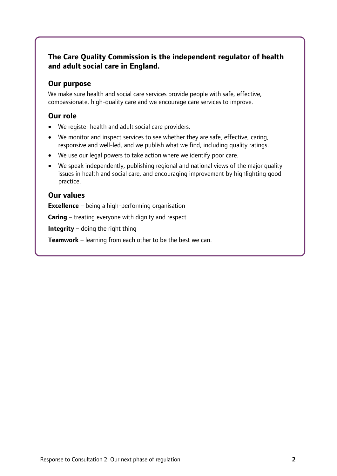## **The Care Quality Commission is the independent regulator of health and adult social care in England.**

#### **Our purpose**

We make sure health and social care services provide people with safe, effective, compassionate, high-quality care and we encourage care services to improve.

### **Our role**

- We register health and adult social care providers.
- We monitor and inspect services to see whether they are safe, effective, caring, responsive and well-led, and we publish what we find, including quality ratings.
- We use our legal powers to take action where we identify poor care.
- We speak independently, publishing regional and national views of the major quality issues in health and social care, and encouraging improvement by highlighting good practice.

### **Our values**

**Excellence** – being a high-performing organisation

**Caring** – treating everyone with dignity and respect

**Integrity** – doing the right thing

**Teamwork** – learning from each other to be the best we can.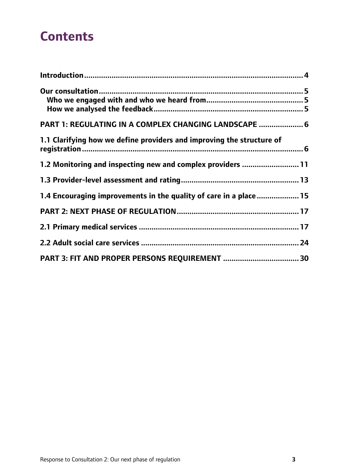## **Contents**

| PART 1: REGULATING IN A COMPLEX CHANGING LANDSCAPE  6                 |  |
|-----------------------------------------------------------------------|--|
| 1.1 Clarifying how we define providers and improving the structure of |  |
| 1.2 Monitoring and inspecting new and complex providers  11           |  |
|                                                                       |  |
| 1.4 Encouraging improvements in the quality of care in a place  15    |  |
|                                                                       |  |
|                                                                       |  |
|                                                                       |  |
|                                                                       |  |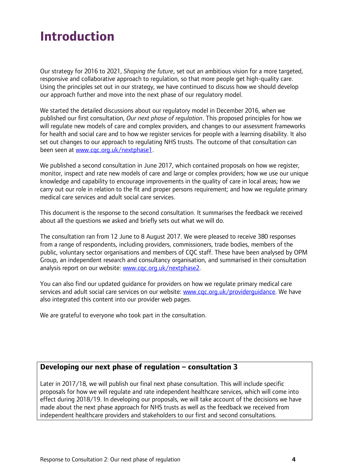## <span id="page-3-0"></span>**Introduction**

Our strategy for 2016 to 2021, *Shaping the future*, set out an ambitious vision for a more targeted, responsive and collaborative approach to regulation, so that more people get high-quality care. Using the principles set out in our strategy, we have continued to discuss how we should develop our approach further and move into the next phase of our regulatory model.

We started the detailed discussions about our regulatory model in December 2016, when we published our first consultation, *Our next phase of regulation*. This proposed principles for how we will regulate new models of care and complex providers, and changes to our assessment frameworks for health and social care and to how we register services for people with a learning disability. It also set out changes to our approach to regulating NHS trusts. The outcome of that consultation can been seen at [www.cqc.org.uk/nextphase1.](http://www.cqc.org.uk/nextphase1)

We published a second consultation in June 2017, which contained proposals on how we register, monitor, inspect and rate new models of care and large or complex providers; how we use our unique knowledge and capability to encourage improvements in the quality of care in local areas; how we carry out our role in relation to the fit and proper persons requirement; and how we regulate primary medical care services and adult social care services.

This document is the response to the second consultation. It summarises the feedback we received about all the questions we asked and briefly sets out what we will do.

The consultation ran from 12 June to 8 August 2017. We were pleased to receive 380 responses from a range of respondents, including providers, commissioners, trade bodies, members of the public, voluntary sector organisations and members of CQC staff. These have been analysed by OPM Group, an independent research and consultancy organisation, and summarised in their consultation analysis report on our website: [www.cqc.org.uk/nextphase2.](http://www.cqc.org.uk/nextphase2)

You can also find our updated guidance for providers on how we regulate primary medical care services and adult social care services on our website: [www.cqc.org.uk/providerguidance.](http://www.cqc.org.uk/providerguidance) We have also integrated this content into our provider web pages.

We are grateful to everyone who took part in the consultation.

### **Developing our next phase of regulation – consultation 3**

<span id="page-3-1"></span>Later in 2017/18, we will publish our final next phase consultation. This will include specific proposals for how we will regulate and rate independent healthcare services, which will come into effect during 2018/19. In developing our proposals, we will take account of the decisions we have made about the next phase approach for NHS trusts as well as the feedback we received from independent healthcare providers and stakeholders to our first and second consultations.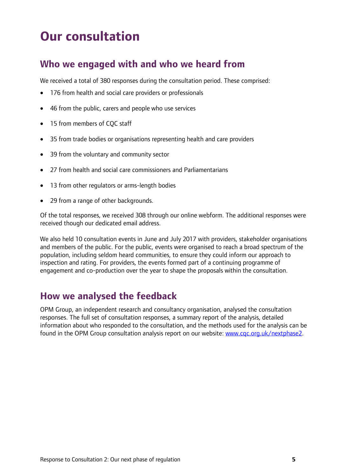# **Our consultation**

## <span id="page-4-0"></span>**Who we engaged with and who we heard from**

We received a total of 380 responses during the consultation period. These comprised:

- 176 from health and social care providers or professionals
- 46 from the public, carers and people who use services
- 15 from members of COC staff
- 35 from trade bodies or organisations representing health and care providers
- 39 from the voluntary and community sector
- 27 from health and social care commissioners and Parliamentarians
- 13 from other regulators or arms-length bodies
- 29 from a range of other backgrounds.

Of the total responses, we received 308 through our online webform. The additional responses were received though our dedicated email address.

We also held 10 consultation events in June and July 2017 with providers, stakeholder organisations and members of the public. For the public, events were organised to reach a broad spectrum of the population, including seldom heard communities, to ensure they could inform our approach to inspection and rating. For providers, the events formed part of a continuing programme of engagement and co-production over the year to shape the proposals within the consultation.

## <span id="page-4-1"></span>**How we analysed the feedback**

OPM Group, an independent research and consultancy organisation, analysed the consultation responses. The full set of consultation responses, a summary report of the analysis, detailed information about who responded to the consultation, and the methods used for the analysis can be found in the OPM Group consultation analysis report on our website: [www.cqc.org.uk/nextphase2.](http://www.cqc.org.uk/nextphase2)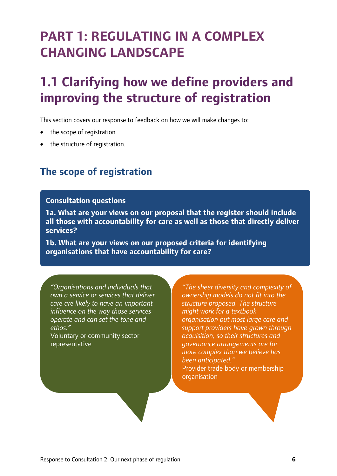# <span id="page-5-0"></span>**PART 1: REGULATING IN A COMPLEX CHANGING LANDSCAPE**

# <span id="page-5-1"></span>**1.1 Clarifying how we define providers and improving the structure of registration**

This section covers our response to feedback on how we will make changes to:

- the scope of registration
- the structure of registration.

## **The scope of registration**

#### **Consultation questions**

**1a. What are your views on our proposal that the register should include all those with accountability for care as well as those that directly deliver services?**

**1b. What are your views on our proposed criteria for identifying organisations that have accountability for care?**

*"Organisations and individuals that own a service or services that deliver care are likely to have an important influence on the way those services operate and can set the tone and ethos."* 

Voluntary or community sector representative

*"The sheer diversity and complexity of ownership models do not fit into the structure proposed. The structure might work for a textbook organisation but most large care and support providers have grown through acquisition, so their structures and governance arrangements are far more complex than we believe has been anticipated."*  Provider trade body or membership organisation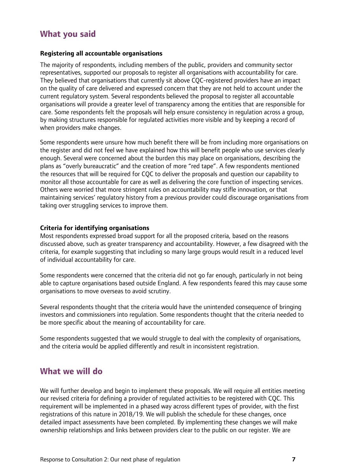## **What you said**

#### **Registering all accountable organisations**

The majority of respondents, including members of the public, providers and community sector representatives, supported our proposals to register all organisations with accountability for care. They believed that organisations that currently sit above CQC-registered providers have an impact on the quality of care delivered and expressed concern that they are not held to account under the current regulatory system. Several respondents believed the proposal to register all accountable organisations will provide a greater level of transparency among the entities that are responsible for care. Some respondents felt the proposals will help ensure consistency in regulation across a group, by making structures responsible for regulated activities more visible and by keeping a record of when providers make changes.

Some respondents were unsure how much benefit there will be from including more organisations on the register and did not feel we have explained how this will benefit people who use services clearly enough. Several were concerned about the burden this may place on organisations, describing the plans as "overly bureaucratic" and the creation of more "red tape". A few respondents mentioned the resources that will be required for CQC to deliver the proposals and question our capability to monitor all those accountable for care as well as delivering the core function of inspecting services. Others were worried that more stringent rules on accountability may stifle innovation, or that maintaining services' regulatory history from a previous provider could discourage organisations from taking over struggling services to improve them.

#### **Criteria for identifying organisations**

Most respondents expressed broad support for all the proposed criteria, based on the reasons discussed above, such as greater transparency and accountability. However, a few disagreed with the criteria, for example suggesting that including so many large groups would result in a reduced level of individual accountability for care.

Some respondents were concerned that the criteria did not go far enough, particularly in not being able to capture organisations based outside England. A few respondents feared this may cause some organisations to move overseas to avoid scrutiny.

Several respondents thought that the criteria would have the unintended consequence of bringing investors and commissioners into regulation. Some respondents thought that the criteria needed to be more specific about the meaning of accountability for care.

Some respondents suggested that we would struggle to deal with the complexity of organisations, and the criteria would be applied differently and result in inconsistent registration.

## **What we will do**

We will further develop and begin to implement these proposals. We will require all entities meeting our revised criteria for defining a provider of regulated activities to be registered with CQC. This requirement will be implemented in a phased way across different types of provider, with the first registrations of this nature in 2018/19. We will publish the schedule for these changes, once detailed impact assessments have been completed. By implementing these changes we will make ownership relationships and links between providers clear to the public on our register. We are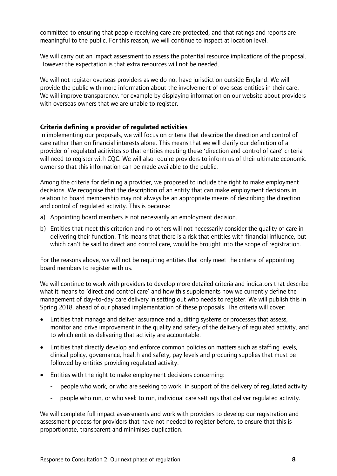committed to ensuring that people receiving care are protected, and that ratings and reports are meaningful to the public. For this reason, we will continue to inspect at location level.

We will carry out an impact assessment to assess the potential resource implications of the proposal. However the expectation is that extra resources will not be needed.

We will not register overseas providers as we do not have jurisdiction outside England. We will provide the public with more information about the involvement of overseas entities in their care. We will improve transparency, for example by displaying information on our website about providers with overseas owners that we are unable to register.

#### **Criteria defining a provider of regulated activities**

In implementing our proposals, we will focus on criteria that describe the direction and control of care rather than on financial interests alone. This means that we will clarify our definition of a provider of regulated acitivites so that entities meeting these 'direction and control of care' criteria will need to register with CQC. We will also require providers to inform us of their ultimate economic owner so that this information can be made available to the public.

Among the criteria for defining a provider, we proposed to include the right to make employment decisions. We recognise that the description of an entity that can make employment decisions in relation to board membership may not always be an appropriate means of describing the direction and control of regulated activity. This is because:

- a) Appointing board members is not necessarily an employment decision.
- b) Entities that meet this criterion and no others will not necessarily consider the quality of care in delivering their function. This means that there is a risk that entities with financial influence, but which can't be said to direct and control care, would be brought into the scope of registration.

For the reasons above, we will not be requiring entities that only meet the criteria of appointing board members to register with us.

We will continue to work with providers to develop more detailed criteria and indicators that describe what it means to 'direct and control care' and how this supplements how we currently define the management of day-to-day care delivery in setting out who needs to register. We will publish this in Spring 2018, ahead of our phased implementation of these proposals. The criteria will cover:

- Entities that manage and deliver assurance and auditing systems or processes that assess, monitor and drive improvement in the quality and safety of the delivery of regulated activity, and to which entities delivering that activity are accountable.
- Entities that directly develop and enforce common policies on matters such as staffing levels, clinical policy, governance, health and safety, pay levels and procuring supplies that must be followed by entities providing regulated activity.
- Entities with the right to make employment decisions concerning:
	- people who work, or who are seeking to work, in support of the delivery of regulated activity
	- people who run, or who seek to run, individual care settings that deliver regulated activity.

We will complete full impact assessments and work with providers to develop our registration and assessment process for providers that have not needed to register before, to ensure that this is proportionate, transparent and minimises duplication.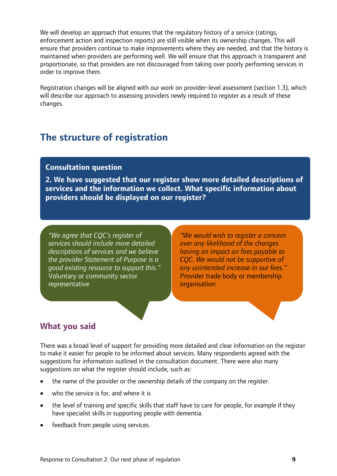We will develop an approach that ensures that the regulatory history of a service (ratings, enforcement action and inspection reports) are still visible when its ownership changes. This will ensure that providers continue to make improvements where they are needed, and that the history is maintained when providers are performing well. We will ensure that this approach is transparent and proportionate, so that providers are not discouraged from taking over poorly performing services in order to improve them.

Registration changes will be aligned with our work on provider-level assessment (section 1.3), which will describe our approach to assessing providers newly required to register as a result of these changes.

## **The structure of registration**

#### **Consultation question**

**2. We have suggested that our register show more detailed descriptions of services and the information we collect. What specific information about providers should be displayed on our register?**

*"We agree that CQC's register of services should include more detailed descriptions of services and we believe the provider Statement of Purpose is a good existing resource to support this."* Voluntary or community sector representative

*"We would wish to register a concern over any likelihood of the changes having an impact on fees payable to CQC. We would not be supportive of any unintended increase in our fees."*  Provider trade body or membership organisation

## **What you said**

There was a broad level of support for providing more detailed and clear information on the register to make it easier for people to be informed about services. Many respondents agreed with the suggestions for information outlined in the consultation document. There were also many suggestions on what the register should include, such as:

- the name of the provider or the ownership details of the company on the register.
- who the service is for, and where it is
- the level of training and specific skills that staff have to care for people, for example if they have specialist skills in supporting people with dementia.
- feedback from people using services.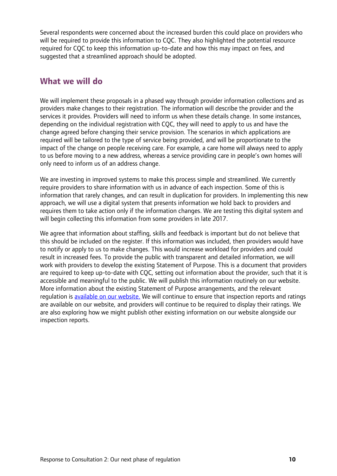Several respondents were concerned about the increased burden this could place on providers who will be required to provide this information to COC. They also highlighted the potential resource required for CQC to keep this information up-to-date and how this may impact on fees, and suggested that a streamlined approach should be adopted.

## **What we will do**

We will implement these proposals in a phased way through provider information collections and as providers make changes to their registration. The information will describe the provider and the services it provides. Providers will need to inform us when these details change. In some instances, depending on the individual registration with CQC, they will need to apply to us and have the change agreed before changing their service provision. The scenarios in which applications are required will be tailored to the type of service being provided, and will be proportionate to the impact of the change on people receiving care. For example, a care home will always need to apply to us before moving to a new address, whereas a service providing care in people's own homes will only need to inform us of an address change.

We are investing in improved systems to make this process simple and streamlined. We currently require providers to share information with us in advance of each inspection. Some of this is information that rarely changes, and can result in duplication for providers. In implementing this new approach, we will use a digital system that presents information we hold back to providers and requires them to take action only if the information changes. We are testing this digital system and will begin collecting this information from some providers in late 2017.

We agree that information about staffing, skills and feedback is important but do not believe that this should be included on the register. If this information was included, then providers would have to notify or apply to us to make changes. This would increase workload for providers and could result in increased fees. To provide the public with transparent and detailed information, we will work with providers to develop the existing Statement of Purpose. This is a document that providers are required to keep up-to-date with CQC, setting out information about the provider, such that it is accessible and meaningful to the public. We will publish this information routinely on our website. More information about the existing Statement of Purpose arrangements, and the relevant regulation is [available on our website.](http://www.cqc.org.uk/sites/default/files/20160203_100456_v3_00_Guidance_for_providers_Statement_of_Purpose_FINAL_for_publication.pdf) We will continue to ensure that inspection reports and ratings are available on our website, and providers will continue to be required to display their ratings. We are also exploring how we might publish other existing information on our website alongside our inspection reports.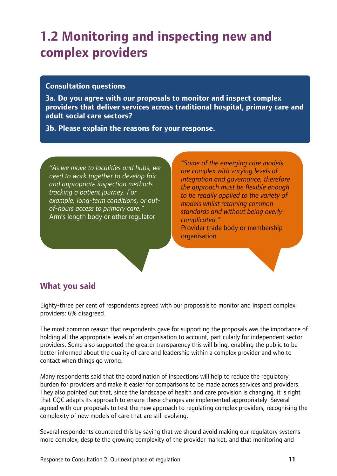## <span id="page-10-0"></span>**1.2 Monitoring and inspecting new and complex providers**

#### **Consultation questions**

**3a. Do you agree with our proposals to monitor and inspect complex providers that deliver services across traditional hospital, primary care and adult social care sectors?** 

**3b. Please explain the reasons for your response.**

*"As we move to localities and hubs, we need to work together to develop fair and appropriate inspection methods tracking a patient journey. For example, long-term conditions, or outof-hours access to primary care."*  Arm's length body or other regulator

*"Some of the emerging care models are complex with varying levels of integration and governance, therefore the approach must be flexible enough to be readily applied to the variety of models whilst retaining common standards and without being overly complicated."*  Provider trade body or membership

organisation

## **What you said**

Eighty-three per cent of respondents agreed with our proposals to monitor and inspect complex providers; 6% disagreed.

The most common reason that respondents gave for supporting the proposals was the importance of holding all the appropriate levels of an organisation to account, particularly for independent sector providers. Some also supported the greater transparency this will bring, enabling the public to be better informed about the quality of care and leadership within a complex provider and who to contact when things go wrong.

Many respondents said that the coordination of inspections will help to reduce the regulatory burden for providers and make it easier for comparisons to be made across services and providers. They also pointed out that, since the landscape of health and care provision is changing, it is right that CQC adapts its approach to ensure these changes are implemented appropriately. Several agreed with our proposals to test the new approach to regulating complex providers, recognising the complexity of new models of care that are still evolving.

Several respondents countered this by saying that we should avoid making our regulatory systems more complex, despite the growing complexity of the provider market, and that monitoring and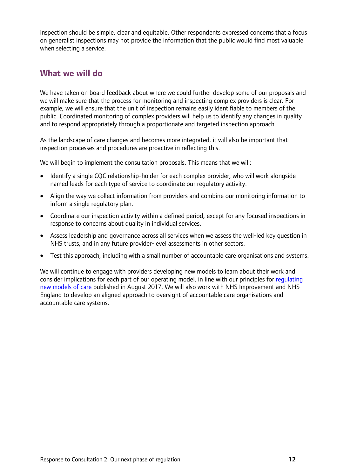inspection should be simple, clear and equitable. Other respondents expressed concerns that a focus on generalist inspections may not provide the information that the public would find most valuable when selecting a service.

### **What we will do**

We have taken on board feedback about where we could further develop some of our proposals and we will make sure that the process for monitoring and inspecting complex providers is clear. For example, we will ensure that the unit of inspection remains easily identifiable to members of the public. Coordinated monitoring of complex providers will help us to identify any changes in quality and to respond appropriately through a proportionate and targeted inspection approach.

As the landscape of care changes and becomes more integrated, it will also be important that inspection processes and procedures are proactive in reflecting this.

We will begin to implement the consultation proposals. This means that we will:

- Identify a single CQC relationship-holder for each complex provider, who will work alongside named leads for each type of service to coordinate our regulatory activity.
- Align the way we collect information from providers and combine our monitoring information to inform a single regulatory plan.
- Coordinate our inspection activity within a defined period, except for any focused inspections in response to concerns about quality in individual services.
- Assess leadership and governance across all services when we assess the well-led key question in NHS trusts, and in any future provider-level assessments in other sectors.
- Test this approach, including with a small number of accountable care organisations and systems.

We will continue to engage with providers developing new models to learn about their work and consider implications for each part of our operating model, in line with our principles for [regulating](http://www.cqc.org.uk/sites/default/files/20170612_next%20phase%20consultation%201%20response_final.pdf)  [new models of care](http://www.cqc.org.uk/sites/default/files/20170612_next%20phase%20consultation%201%20response_final.pdf) published in August 2017. We will also work with NHS Improvement and NHS England to develop an aligned approach to oversight of accountable care organisations and accountable care systems.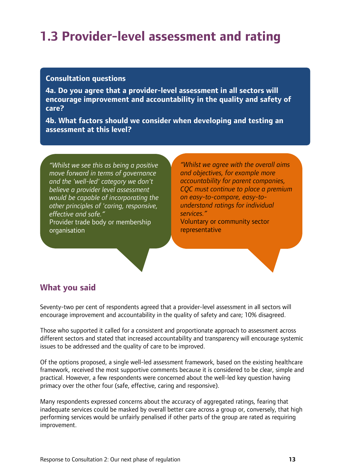## <span id="page-12-0"></span>**1.3 Provider-level assessment and rating**

#### **Consultation questions**

**4a. Do you agree that a provider-level assessment in all sectors will encourage improvement and accountability in the quality and safety of care?**

**4b. What factors should we consider when developing and testing an assessment at this level?**

*"Whilst we see this as being a positive move forward in terms of governance and the 'well-led' category we don't believe a provider level assessment would be capable of incorporating the other principles of 'caring, responsive, effective and safe."*  Provider trade body or membership organisation

*"Whilst we agree with the overall aims and objectives, for example more accountability for parent companies, CQC must continue to place a premium on easy-to-compare, easy-tounderstand ratings for individual services."* Voluntary or community sector

representative

## **What you said**

Seventy-two per cent of respondents agreed that a provider-level assessment in all sectors will encourage improvement and accountability in the quality of safety and care; 10% disagreed.

Those who supported it called for a consistent and proportionate approach to assessment across different sectors and stated that increased accountability and transparency will encourage systemic issues to be addressed and the quality of care to be improved.

Of the options proposed, a single well-led assessment framework, based on the existing healthcare framework, received the most supportive comments because it is considered to be clear, simple and practical. However, a few respondents were concerned about the well-led key question having primacy over the other four (safe, effective, caring and responsive).

Many respondents expressed concerns about the accuracy of aggregated ratings, fearing that inadequate services could be masked by overall better care across a group or, conversely, that high performing services would be unfairly penalised if other parts of the group are rated as requiring improvement.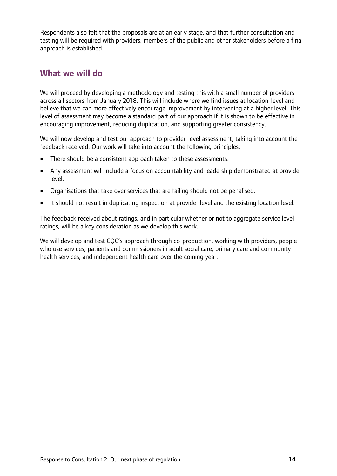Respondents also felt that the proposals are at an early stage, and that further consultation and testing will be required with providers, members of the public and other stakeholders before a final approach is established.

### **What we will do**

We will proceed by developing a methodology and testing this with a small number of providers across all sectors from January 2018. This will include where we find issues at location-level and believe that we can more effectively encourage improvement by intervening at a higher level. This level of assessment may become a standard part of our approach if it is shown to be effective in encouraging improvement, reducing duplication, and supporting greater consistency.

We will now develop and test our approach to provider-level assessment, taking into account the feedback received. Our work will take into account the following principles:

- There should be a consistent approach taken to these assessments.
- Any assessment will include a focus on accountability and leadership demonstrated at provider level.
- Organisations that take over services that are failing should not be penalised.
- It should not result in duplicating inspection at provider level and the existing location level.

The feedback received about ratings, and in particular whether or not to aggregate service level ratings, will be a key consideration as we develop this work.

We will develop and test COC's approach through co-production, working with providers, people who use services, patients and commissioners in adult social care, primary care and community health services, and independent health care over the coming year.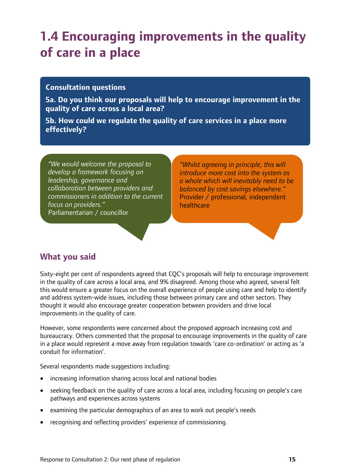# <span id="page-14-0"></span>**1.4 Encouraging improvements in the quality of care in a place**

#### **Consultation questions**

**5a. Do you think our proposals will help to encourage improvement in the quality of care across a local area?**

**5b. How could we regulate the quality of care services in a place more effectively?**

*"We would welcome the proposal to develop a framework focusing on leadership, governance and collaboration between providers and commissioners in addition to the current focus on providers."*  Parliamentarian / councillor

*"Whilst agreeing in principle, this will introduce more cost into the system as a whole which will inevitably need to be balanced by cost savings elsewhere."*  Provider / professional, independent healthcare

## **What you said**

Sixty-eight per cent of respondents agreed that CQC's proposals will help to encourage improvement in the quality of care across a local area, and 9% disagreed. Among those who agreed, several felt this would ensure a greater focus on the overall experience of people using care and help to identify and address system-wide issues, including those between primary care and other sectors. They thought it would also encourage greater cooperation between providers and drive local improvements in the quality of care.

However, some respondents were concerned about the proposed approach increasing cost and bureaucracy. Others commented that the proposal to encourage improvements in the quality of care in a place would represent a move away from regulation towards 'care co-ordination' or acting as 'a conduit for information'.

Several respondents made suggestions including:

- increasing information sharing across local and national bodies
- seeking feedback on the quality of care across a local area, including focusing on people's care pathways and experiences across systems
- examining the particular demographics of an area to work out people's needs
- recognising and reflecting providers' experience of commissioning.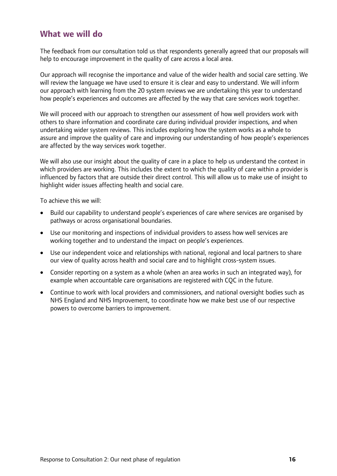## **What we will do**

The feedback from our consultation told us that respondents generally agreed that our proposals will help to encourage improvement in the quality of care across a local area.

Our approach will recognise the importance and value of the wider health and social care setting. We will review the language we have used to ensure it is clear and easy to understand. We will inform our approach with learning from the 20 system reviews we are undertaking this year to understand how people's experiences and outcomes are affected by the way that care services work together.

We will proceed with our approach to strengthen our assessment of how well providers work with others to share information and coordinate care during individual provider inspections, and when undertaking wider system reviews. This includes exploring how the system works as a whole to assure and improve the quality of care and improving our understanding of how people's experiences are affected by the way services work together.

We will also use our insight about the quality of care in a place to help us understand the context in which providers are working. This includes the extent to which the quality of care within a provider is influenced by factors that are outside their direct control. This will allow us to make use of insight to highlight wider issues affecting health and social care.

To achieve this we will:

- Build our capability to understand people's experiences of care where services are organised by pathways or across organisational boundaries.
- Use our monitoring and inspections of individual providers to assess how well services are working together and to understand the impact on people's experiences.
- Use our independent voice and relationships with national, regional and local partners to share our view of quality across health and social care and to highlight cross-system issues.
- Consider reporting on a system as a whole (when an area works in such an integrated way), for example when accountable care organisations are registered with CQC in the future.
- Continue to work with local providers and commissioners, and national oversight bodies such as NHS England and NHS Improvement, to coordinate how we make best use of our respective powers to overcome barriers to improvement.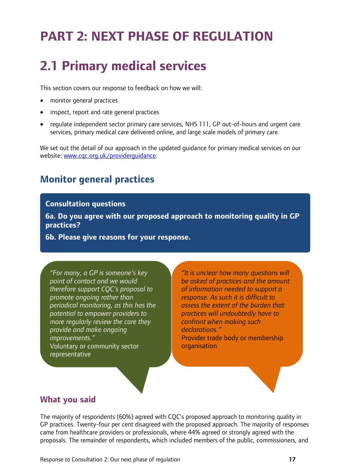# <span id="page-16-0"></span>**PART 2: NEXT PHASE OF REGULATION**

# <span id="page-16-1"></span>**2.1 Primary medical services**

This section covers our response to feedback on how we will:

- monitor general practices
- inspect, report and rate general practices
- regulate independent sector primary care services, NHS 111, GP out-of-hours and urgent care services, primary medical care delivered online, and large scale models of primary care.

We set out the detail of our approach in the updated guidance for primary medical services on our website: [www.cqc.org.uk/providerguidance.](http://www.cqc.org.uk/providerguidance)

## **Monitor general practices**

#### **Consultation questions**

**6a. Do you agree with our proposed approach to monitoring quality in GP practices?**

**6b. Please give reasons for your response.**

*"For many, a GP is someone's key point of contact and we would therefore support CQC's proposal to promote ongoing rather than periodical monitoring, as this has the potential to empower providers to more regularly review the care they provide and make ongoing improvements."*  Voluntary or community sector representative

*"It is unclear how many questions will be asked of practices and the amount of information needed to support a response. As such it is difficult to assess the extent of the burden that practices will undoubtedly have to confront when making such declarations."*  Provider trade body or membership organisation

## **What you said**

The majority of respondents (60%) agreed with CQC's proposed approach to monitoring quality in GP practices. Twenty-four per cent disagreed with the proposed approach. The majority of responses came from healthcare providers or professionals, where 44% agreed or strongly agreed with the proposals. The remainder of respondents, which included members of the public, commissioners, and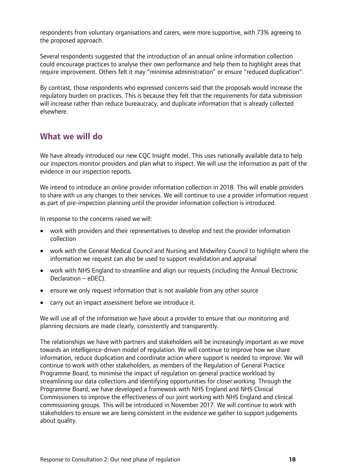respondents from voluntary organisations and carers, were more supportive, with 73% agreeing to the proposed approach.

Several respondents suggested that the introduction of an annual online information collection could encourage practices to analyse their own performance and help them to highlight areas that require improvement. Others felt it may "minimise administration" or ensure "reduced duplication".

By contrast, those respondents who expressed concerns said that the proposals would increase the regulatory burden on practices. This is because they felt that the requirements for data submission will increase rather than reduce bureaucracy, and duplicate information that is already collected elsewhere.

## **What we will do**

We have already introduced our new COC Insight model. This uses nationally available data to help our inspectors monitor providers and plan what to inspect. We will use the information as part of the evidence in our inspection reports.

We intend to introduce an online provider information collection in 2018. This will enable providers to share with us any changes to their services. We will continue to use a provider information request as part of pre-inspection planning until the provider information collection is introduced.

In response to the concerns raised we will:

- work with providers and their representatives to develop and test the provider information collection
- work with the General Medical Council and Nursing and Midwifery Council to highlight where the information we request can also be used to support revalidation and appraisal
- work with NHS England to streamline and align our requests (including the Annual Electronic Declaration – eDEC).
- ensure we only request information that is not available from any other source
- carry out an impact assessment before we introduce it.

We will use all of the information we have about a provider to ensure that our monitoring and planning decisions are made clearly, consistently and transparently.

The relationships we have with partners and stakeholders will be increasingly important as we move towards an intelligence-driven model of regulation. We will continue to improve how we share information, reduce duplication and coordinate action where support is needed to improve. We will continue to work with other stakeholders, as members of the Regulation of General Practice Programme Board, to minimise the impact of regulation on general practice workload by streamlining our data collections and identifying opportunities for closer working. Through the Programme Board, we have developed a framework with NHS England and NHS Clinical Commissioners to improve the effectiveness of our joint working with NHS England and clinical commissioning groups. This will be introduced in November 2017. We will continue to work with stakeholders to ensure we are being consistent in the evidence we gather to support judgements about quality.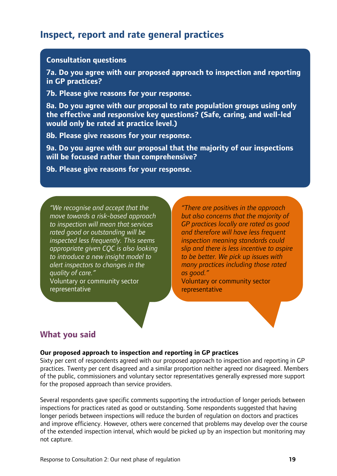## **Inspect, report and rate general practices**

#### **Consultation questions**

**7a. Do you agree with our proposed approach to inspection and reporting in GP practices?**

**7b. Please give reasons for your response.**

**8a. Do you agree with our proposal to rate population groups using only the effective and responsive key questions? (Safe, caring, and well-led would only be rated at practice level.)**

**8b. Please give reasons for your response.**

**9a. Do you agree with our proposal that the majority of our inspections will be focused rather than comprehensive?**

**9b. Please give reasons for your response.**

*"We recognise and accept that the move towards a risk-based approach to inspection will mean that services rated good or outstanding will be inspected less frequently. This seems appropriate given CQC is also looking to introduce a new insight model to alert inspectors to changes in the quality of care."*  Voluntary or community sector representative

*"There are positives in the approach but also concerns that the majority of GP practices locally are rated as good and therefore will have less frequent inspection meaning standards could slip and there is less incentive to aspire to be better. We pick up issues with many practices including those rated as good."* 

Voluntary or community sector representative

#### **What you said**

#### **Our proposed approach to inspection and reporting in GP practices**

Sixty per cent of respondents agreed with our proposed approach to inspection and reporting in GP practices. Twenty per cent disagreed and a similar proportion neither agreed nor disagreed. Members of the public, commissioners and voluntary sector representatives generally expressed more support for the proposed approach than service providers.

Several respondents gave specific comments supporting the introduction of longer periods between inspections for practices rated as good or outstanding. Some respondents suggested that having longer periods between inspections will reduce the burden of regulation on doctors and practices and improve efficiency. However, others were concerned that problems may develop over the course of the extended inspection interval, which would be picked up by an inspection but monitoring may not capture.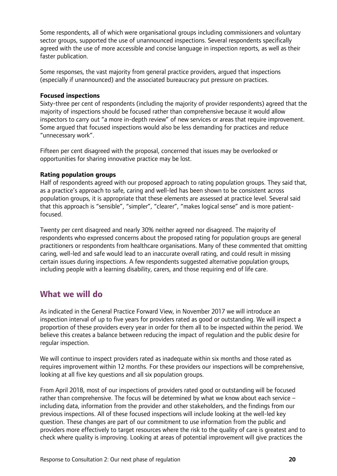Some respondents, all of which were organisational groups including commissioners and voluntary sector groups, supported the use of unannounced inspections. Several respondents specifically agreed with the use of more accessible and concise language in inspection reports, as well as their faster publication.

Some responses, the vast majority from general practice providers, argued that inspections (especially if unannounced) and the associated bureaucracy put pressure on practices.

#### **Focused inspections**

Sixty-three per cent of respondents (including the majority of provider respondents) agreed that the majority of inspections should be focused rather than comprehensive because it would allow inspectors to carry out "a more in-depth review" of new services or areas that require improvement. Some argued that focused inspections would also be less demanding for practices and reduce "unnecessary work".

Fifteen per cent disagreed with the proposal, concerned that issues may be overlooked or opportunities for sharing innovative practice may be lost.

#### **Rating population groups**

Half of respondents agreed with our proposed approach to rating population groups. They said that, as a practice's approach to safe, caring and well-led has been shown to be consistent across population groups, it is appropriate that these elements are assessed at practice level. Several said that this approach is "sensible", "simpler", "clearer", "makes logical sense" and is more patientfocused.

Twenty per cent disagreed and nearly 30% neither agreed nor disagreed. The majority of respondents who expressed concerns about the proposed rating for population groups are general practitioners or respondents from healthcare organisations. Many of these commented that omitting caring, well-led and safe would lead to an inaccurate overall rating, and could result in missing certain issues during inspections. A few respondents suggested alternative population groups, including people with a learning disability, carers, and those requiring end of life care.

### **What we will do**

As indicated in the General Practice Forward View, in November 2017 we will introduce an inspection interval of up to five years for providers rated as good or outstanding. We will inspect a proportion of these providers every year in order for them all to be inspected within the period. We believe this creates a balance between reducing the impact of regulation and the public desire for regular inspection.

We will continue to inspect providers rated as inadequate within six months and those rated as requires improvement within 12 months. For these providers our inspections will be comprehensive, looking at all five key questions and all six population groups.

From April 2018, most of our inspections of providers rated good or outstanding will be focused rather than comprehensive. The focus will be determined by what we know about each service – including data, information from the provider and other stakeholders, and the findings from our previous inspections. All of these focused inspections will include looking at the well-led key question. These changes are part of our commitment to use information from the public and providers more effectively to target resources where the risk to the quality of care is greatest and to check where quality is improving. Looking at areas of potential improvement will give practices the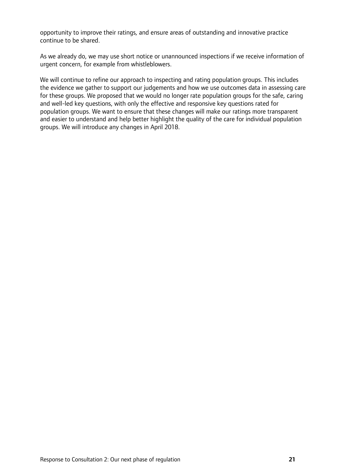opportunity to improve their ratings, and ensure areas of outstanding and innovative practice continue to be shared.

As we already do, we may use short notice or unannounced inspections if we receive information of urgent concern, for example from whistleblowers.

We will continue to refine our approach to inspecting and rating population groups. This includes the evidence we gather to support our judgements and how we use outcomes data in assessing care for these groups. We proposed that we would no longer rate population groups for the safe, caring and well-led key questions, with only the effective and responsive key questions rated for population groups. We want to ensure that these changes will make our ratings more transparent and easier to understand and help better highlight the quality of the care for individual population groups. We will introduce any changes in April 2018.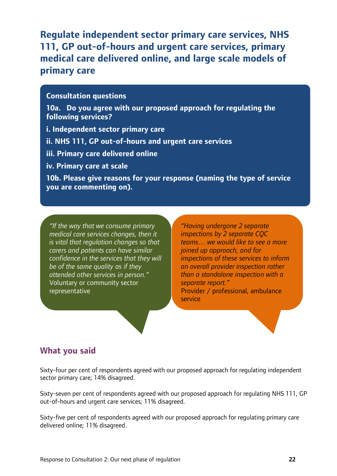## **Regulate independent sector primary care services, NHS 111, GP out-of-hours and urgent care services, primary medical care delivered online, and large scale models of primary care**

#### **Consultation questions**

**10a. Do you agree with our proposed approach for regulating the following services?**

**i. Independent sector primary care**

**ii. NHS 111, GP out-of-hours and urgent care services**

**iii. Primary care delivered online**

**iv. Primary care at scale**

**10b. Please give reasons for your response (naming the type of service you are commenting on).**

*"If the way that we consume primary medical care services changes, then it is vital that regulation changes so that carers and patients can have similar confidence in the services that they will be of the same quality as if they attended other services in person."*  Voluntary or community sector representative

*"Having undergone 2 separate inspections by 2 separate CQC teams… we would like to see a more joined up approach, and for inspections of these services to inform an overall provider inspection rather than a standalone inspection with a separate report."*  Provider / professional, ambulance

**What you said**

Sixty-four per cent of respondents agreed with our proposed approach for regulating independent sector primary care; 14% disagreed.

service

Sixty-seven per cent of respondents agreed with our proposed approach for regulating NHS 111, GP out-of-hours and urgent care services; 11% disagreed.

Sixty-five per cent of respondents agreed with our proposed approach for regulating primary care delivered online; 11% disagreed.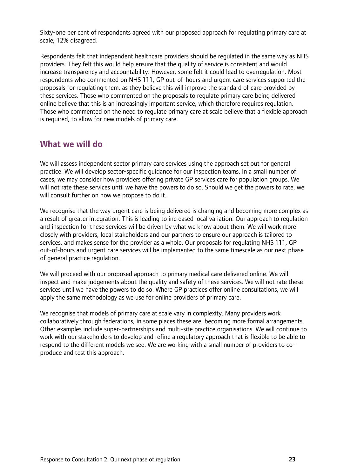Sixty-one per cent of respondents agreed with our proposed approach for regulating primary care at scale; 12% disagreed.

Respondents felt that independent healthcare providers should be regulated in the same way as NHS providers. They felt this would help ensure that the quality of service is consistent and would increase transparency and accountability. However, some felt it could lead to overregulation. Most respondents who commented on NHS 111, GP out-of-hours and urgent care services supported the proposals for regulating them, as they believe this will improve the standard of care provided by these services. Those who commented on the proposals to regulate primary care being delivered online believe that this is an increasingly important service, which therefore requires regulation. Those who commented on the need to regulate primary care at scale believe that a flexible approach is required, to allow for new models of primary care.

## **What we will do**

We will assess independent sector primary care services using the approach set out for general practice. We will develop sector-specific guidance for our inspection teams. In a small number of cases, we may consider how providers offering private GP services care for population groups. We will not rate these services until we have the powers to do so. Should we get the powers to rate, we will consult further on how we propose to do it.

We recognise that the way urgent care is being delivered is changing and becoming more complex as a result of greater integration. This is leading to increased local variation. Our approach to regulation and inspection for these services will be driven by what we know about them. We will work more closely with providers, local stakeholders and our partners to ensure our approach is tailored to services, and makes sense for the provider as a whole. Our proposals for regulating NHS 111, GP out-of-hours and urgent care services will be implemented to the same timescale as our next phase of general practice regulation.

We will proceed with our proposed approach to primary medical care delivered online. We will inspect and make judgements about the quality and safety of these services. We will not rate these services until we have the powers to do so. Where GP practices offer online consultations, we will apply the same methodology as we use for online providers of primary care.

We recognise that models of primary care at scale vary in complexity. Many providers work collaboratively through federations, in some places these are becoming more formal arrangements. Other examples include super-partnerships and multi-site practice organisations. We will continue to work with our stakeholders to develop and refine a regulatory approach that is flexible to be able to respond to the different models we see. We are working with a small number of providers to coproduce and test this approach.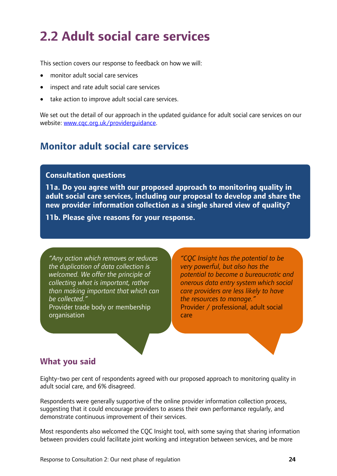# <span id="page-23-0"></span>**2.2 Adult social care services**

This section covers our response to feedback on how we will:

- monitor adult social care services
- inspect and rate adult social care services
- take action to improve adult social care services.

We set out the detail of our approach in the updated guidance for adult social care services on our website: [www.cqc.org.uk/providerguidance.](http://www.cqc.org.uk/providerguidance)

## **Monitor adult social care services**

#### **Consultation questions**

**11a. Do you agree with our proposed approach to monitoring quality in adult social care services, including our proposal to develop and share the new provider information collection as a single shared view of quality?**

**11b. Please give reasons for your response.**

*"Any action which removes or reduces the duplication of data collection is welcomed. We offer the principle of collecting what is important, rather than making important that which can be collected."*  Provider trade body or membership organisation

*"CQC Insight has the potential to be very powerful, but also has the potential to become a bureaucratic and onerous data entry system which social care providers are less likely to have the resources to manage."* Provider / professional, adult social care

## **What you said**

Eighty-two per cent of respondents agreed with our proposed approach to monitoring quality in adult social care, and 6% disagreed.

Respondents were generally supportive of the online provider information collection process, suggesting that it could encourage providers to assess their own performance regularly, and demonstrate continuous improvement of their services.

Most respondents also welcomed the CQC Insight tool, with some saying that sharing information between providers could facilitate joint working and integration between services, and be more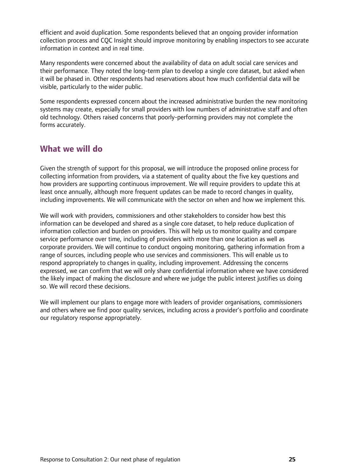efficient and avoid duplication. Some respondents believed that an ongoing provider information collection process and CQC Insight should improve monitoring by enabling inspectors to see accurate information in context and in real time.

Many respondents were concerned about the availability of data on adult social care services and their performance. They noted the long-term plan to develop a single core dataset, but asked when it will be phased in. Other respondents had reservations about how much confidential data will be visible, particularly to the wider public.

Some respondents expressed concern about the increased administrative burden the new monitoring systems may create, especially for small providers with low numbers of administrative staff and often old technology. Others raised concerns that poorly-performing providers may not complete the forms accurately.

## **What we will do**

Given the strength of support for this proposal, we will introduce the proposed online process for collecting information from providers, via a statement of quality about the five key questions and how providers are supporting continuous improvement. We will require providers to update this at least once annually, although more frequent updates can be made to record changes in quality, including improvements. We will communicate with the sector on when and how we implement this.

We will work with providers, commissioners and other stakeholders to consider how best this information can be developed and shared as a single core dataset, to help reduce duplication of information collection and burden on providers. This will help us to monitor quality and compare service performance over time, including of providers with more than one location as well as corporate providers. We will continue to conduct ongoing monitoring, gathering information from a range of sources, including people who use services and commissioners. This will enable us to respond appropriately to changes in quality, including improvement. Addressing the concerns expressed, we can confirm that we will only share confidential information where we have considered the likely impact of making the disclosure and where we judge the public interest justifies us doing so. We will record these decisions.

We will implement our plans to engage more with leaders of provider organisations, commissioners and others where we find poor quality services, including across a provider's portfolio and coordinate our regulatory response appropriately.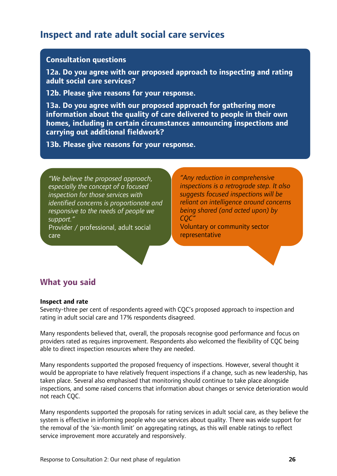## **Inspect and rate adult social care services**

#### **Consultation questions**

**12a. Do you agree with our proposed approach to inspecting and rating adult social care services?** 

**12b. Please give reasons for your response.**

**13a. Do you agree with our proposed approach for gathering more information about the quality of care delivered to people in their own homes, including in certain circumstances announcing inspections and carrying out additional fieldwork?**

**13b. Please give reasons for your response.**

*"We believe the proposed approach, especially the concept of a focused inspection for those services with identified concerns is proportionate and responsive to the needs of people we support."*  Provider / professional, adult social

care

*"Any reduction in comprehensive inspections is a retrograde step. It also suggests focused inspections will be reliant on intelligence around concerns being shared (and acted upon) by CQC"* 

Voluntary or community sector representative

## **What you said**

#### **Inspect and rate**

Seventy-three per cent of respondents agreed with CQC's proposed approach to inspection and rating in adult social care and 17% respondents disagreed.

Many respondents believed that, overall, the proposals recognise good performance and focus on providers rated as requires improvement. Respondents also welcomed the flexibility of CQC being able to direct inspection resources where they are needed.

Many respondents supported the proposed frequency of inspections. However, several thought it would be appropriate to have relatively frequent inspections if a change, such as new leadership, has taken place. Several also emphasised that monitoring should continue to take place alongside inspections, and some raised concerns that information about changes or service deterioration would not reach CQC.

Many respondents supported the proposals for rating services in adult social care, as they believe the system is effective in informing people who use services about quality. There was wide support for the removal of the 'six-month limit' on aggregating ratings, as this will enable ratings to reflect service improvement more accurately and responsively.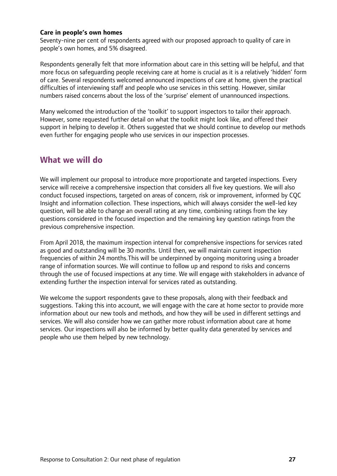#### **Care in people's own homes**

Seventy-nine per cent of respondents agreed with our proposed approach to quality of care in people's own homes, and 5% disagreed.

Respondents generally felt that more information about care in this setting will be helpful, and that more focus on safeguarding people receiving care at home is crucial as it is a relatively 'hidden' form of care. Several respondents welcomed announced inspections of care at home, given the practical difficulties of interviewing staff and people who use services in this setting. However, similar numbers raised concerns about the loss of the 'surprise' element of unannounced inspections.

Many welcomed the introduction of the 'toolkit' to support inspectors to tailor their approach. However, some requested further detail on what the toolkit might look like, and offered their support in helping to develop it. Others suggested that we should continue to develop our methods even further for engaging people who use services in our inspection processes.

### **What we will do**

We will implement our proposal to introduce more proportionate and targeted inspections. Every service will receive a comprehensive inspection that considers all five key questions. We will also conduct focused inspections, targeted on areas of concern, risk or improvement, informed by CQC Insight and information collection. These inspections, which will always consider the well-led key question, will be able to change an overall rating at any time, combining ratings from the key questions considered in the focused inspection and the remaining key question ratings from the previous comprehensive inspection.

From April 2018, the maximum inspection interval for comprehensive inspections for services rated as good and outstanding will be 30 months. Until then, we will maintain current inspection frequencies of within 24 months.This will be underpinned by ongoing monitoring using a broader range of information sources. We will continue to follow up and respond to risks and concerns through the use of focused inspections at any time. We will engage with stakeholders in advance of extending further the inspection interval for services rated as outstanding.

We welcome the support respondents gave to these proposals, along with their feedback and suggestions. Taking this into account, we will engage with the care at home sector to provide more information about our new tools and methods, and how they will be used in different settings and services. We will also consider how we can gather more robust information about care at home services. Our inspections will also be informed by better quality data generated by services and people who use them helped by new technology.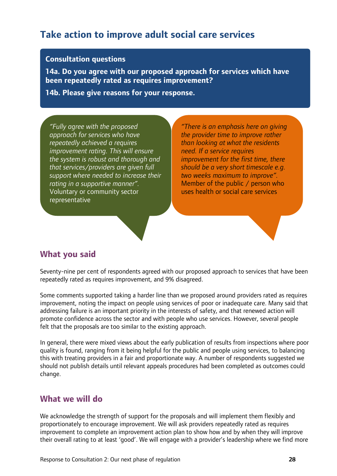## **Take action to improve adult social care services**

#### **Consultation questions**

**14a. Do you agree with our proposed approach for services which have been repeatedly rated as requires improvement?**

**14b. Please give reasons for your response.**

*"Fully agree with the proposed approach for services who have repeatedly achieved a requires improvement rating. This will ensure the system is robust and thorough and that services/providers are given full support where needed to increase their rating in a supportive manner".* Voluntary or community sector representative

*"There is an emphasis here on giving the provider time to improve rather than looking at what the residents need. If a service requires improvement for the first time, there should be a very short timescale e.g. two weeks maximum to improve".* Member of the public / person who uses health or social care services

## **What you said**

Seventy-nine per cent of respondents agreed with our proposed approach to services that have been repeatedly rated as requires improvement, and 9% disagreed.

Some comments supported taking a harder line than we proposed around providers rated as requires improvement, noting the impact on people using services of poor or inadequate care. Many said that addressing failure is an important priority in the interests of safety, and that renewed action will promote confidence across the sector and with people who use services. However, several people felt that the proposals are too similar to the existing approach.

In general, there were mixed views about the early publication of results from inspections where poor quality is found, ranging from it being helpful for the public and people using services, to balancing this with treating providers in a fair and proportionate way. A number of respondents suggested we should not publish details until relevant appeals procedures had been completed as outcomes could change.

## **What we will do**

We acknowledge the strength of support for the proposals and will implement them flexibly and proportionately to encourage improvement. We will ask providers repeatedly rated as requires improvement to complete an improvement action plan to show how and by when they will improve their overall rating to at least 'good'. We will engage with a provider's leadership where we find more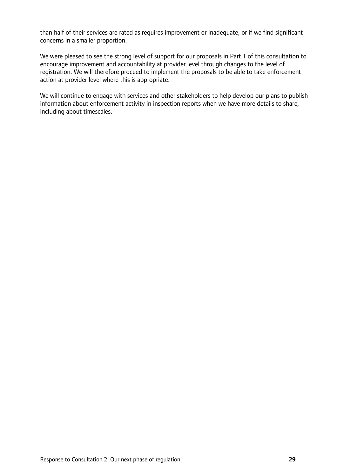than half of their services are rated as requires improvement or inadequate, or if we find significant concerns in a smaller proportion.

We were pleased to see the strong level of support for our proposals in Part 1 of this consultation to encourage improvement and accountability at provider level through changes to the level of registration. We will therefore proceed to implement the proposals to be able to take enforcement action at provider level where this is appropriate.

We will continue to engage with services and other stakeholders to help develop our plans to publish information about enforcement activity in inspection reports when we have more details to share, including about timescales.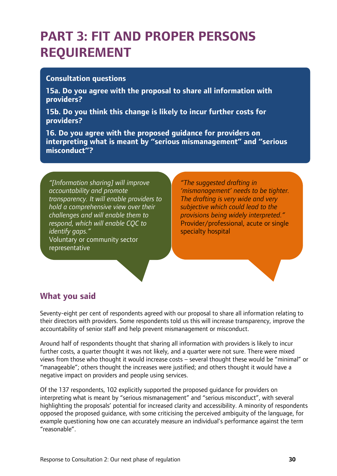# <span id="page-29-0"></span>**PART 3: FIT AND PROPER PERSONS REQUIREMENT**

#### **Consultation questions**

**15a. Do you agree with the proposal to share all information with providers?**

**15b. Do you think this change is likely to incur further costs for providers?**

**16. Do you agree with the proposed guidance for providers on interpreting what is meant by "serious mismanagement" and "serious misconduct"?**

*"[Information sharing] will improve accountability and promote transparency. It will enable providers to hold a comprehensive view over their challenges and will enable them to respond, which will enable CQC to identify gaps."* Voluntary or community sector representative

*"The suggested drafting in 'mismanagement' needs to be tighter. The drafting is very wide and very subjective which could lead to the provisions being widely interpreted."* Provider/professional, acute or single specialty hospital

## **What you said**

Seventy-eight per cent of respondents agreed with our proposal to share all information relating to their directors with providers. Some respondents told us this will increase transparency, improve the accountability of senior staff and help prevent mismanagement or misconduct.

Around half of respondents thought that sharing all information with providers is likely to incur further costs, a quarter thought it was not likely, and a quarter were not sure. There were mixed views from those who thought it would increase costs – several thought these would be "minimal" or "manageable"; others thought the increases were justified; and others thought it would have a negative impact on providers and people using services.

Of the 137 respondents, 102 explicitly supported the proposed guidance for providers on interpreting what is meant by "serious mismanagement" and "serious misconduct", with several highlighting the proposals' potential for increased clarity and accessibility. A minority of respondents opposed the proposed guidance, with some criticising the perceived ambiguity of the language, for example questioning how one can accurately measure an individual's performance against the term "reasonable".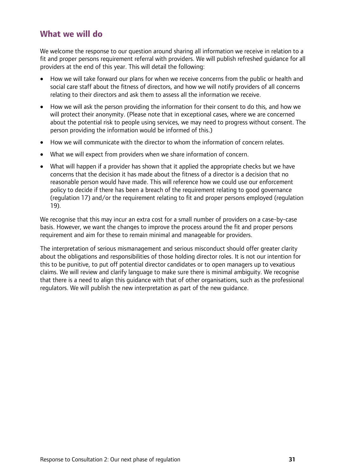## **What we will do**

We welcome the response to our question around sharing all information we receive in relation to a fit and proper persons requirement referral with providers. We will publish refreshed guidance for all providers at the end of this year. This will detail the following:

- How we will take forward our plans for when we receive concerns from the public or health and social care staff about the fitness of directors, and how we will notify providers of all concerns relating to their directors and ask them to assess all the information we receive.
- How we will ask the person providing the information for their consent to do this, and how we will protect their anonymity. (Please note that in exceptional cases, where we are concerned about the potential risk to people using services, we may need to progress without consent. The person providing the information would be informed of this.)
- How we will communicate with the director to whom the information of concern relates.
- What we will expect from providers when we share information of concern.
- What will happen if a provider has shown that it applied the appropriate checks but we have concerns that the decision it has made about the fitness of a director is a decision that no reasonable person would have made. This will reference how we could use our enforcement policy to decide if there has been a breach of the requirement relating to good governance (regulation 17) and/or the requirement relating to fit and proper persons employed (regulation 19).

We recognise that this may incur an extra cost for a small number of providers on a case-by-case basis. However, we want the changes to improve the process around the fit and proper persons requirement and aim for these to remain minimal and manageable for providers.

The interpretation of serious mismanagement and serious misconduct should offer greater clarity about the obligations and responsibilities of those holding director roles. It is not our intention for this to be punitive, to put off potential director candidates or to open managers up to vexatious claims. We will review and clarify language to make sure there is minimal ambiguity. We recognise that there is a need to align this guidance with that of other organisations, such as the professional regulators. We will publish the new interpretation as part of the new guidance.